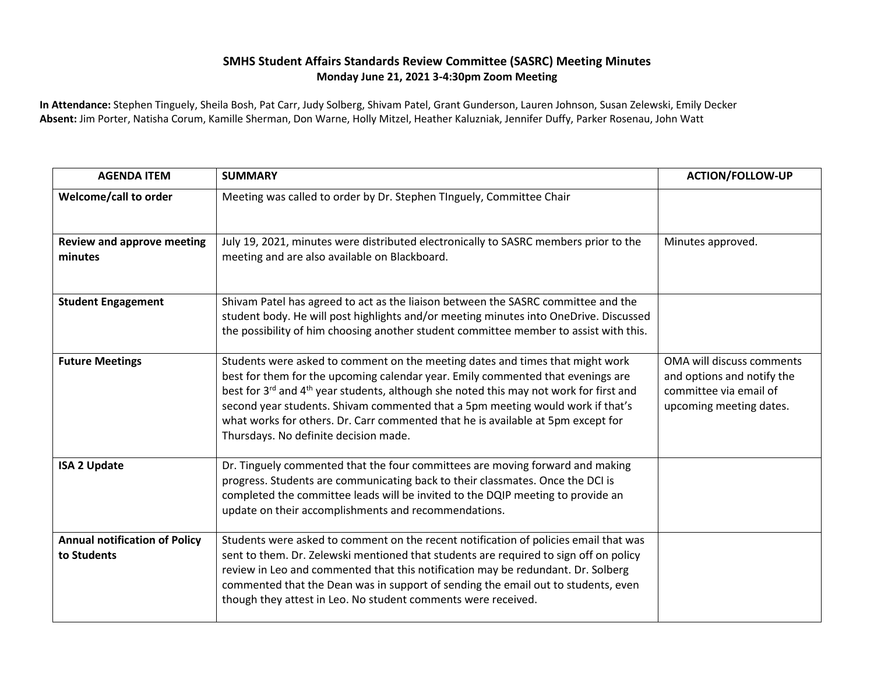## **SMHS Student Affairs Standards Review Committee (SASRC) Meeting Minutes Monday June 21, 2021 3-4:30pm Zoom Meeting**

**In Attendance:** Stephen Tinguely, Sheila Bosh, Pat Carr, Judy Solberg, Shivam Patel, Grant Gunderson, Lauren Johnson, Susan Zelewski, Emily Decker **Absent:** Jim Porter, Natisha Corum, Kamille Sherman, Don Warne, Holly Mitzel, Heather Kaluzniak, Jennifer Duffy, Parker Rosenau, John Watt

| <b>AGENDA ITEM</b>                                  | <b>SUMMARY</b>                                                                                                                                                                                                                                                                                                                                                                                                                                                                                    | <b>ACTION/FOLLOW-UP</b>                                                                                      |
|-----------------------------------------------------|---------------------------------------------------------------------------------------------------------------------------------------------------------------------------------------------------------------------------------------------------------------------------------------------------------------------------------------------------------------------------------------------------------------------------------------------------------------------------------------------------|--------------------------------------------------------------------------------------------------------------|
| Welcome/call to order                               | Meeting was called to order by Dr. Stephen TInguely, Committee Chair                                                                                                                                                                                                                                                                                                                                                                                                                              |                                                                                                              |
| <b>Review and approve meeting</b><br>minutes        | July 19, 2021, minutes were distributed electronically to SASRC members prior to the<br>meeting and are also available on Blackboard.                                                                                                                                                                                                                                                                                                                                                             | Minutes approved.                                                                                            |
| <b>Student Engagement</b>                           | Shivam Patel has agreed to act as the liaison between the SASRC committee and the<br>student body. He will post highlights and/or meeting minutes into OneDrive. Discussed<br>the possibility of him choosing another student committee member to assist with this.                                                                                                                                                                                                                               |                                                                                                              |
| <b>Future Meetings</b>                              | Students were asked to comment on the meeting dates and times that might work<br>best for them for the upcoming calendar year. Emily commented that evenings are<br>best for 3 <sup>rd</sup> and 4 <sup>th</sup> year students, although she noted this may not work for first and<br>second year students. Shivam commented that a 5pm meeting would work if that's<br>what works for others. Dr. Carr commented that he is available at 5pm except for<br>Thursdays. No definite decision made. | OMA will discuss comments<br>and options and notify the<br>committee via email of<br>upcoming meeting dates. |
| <b>ISA 2 Update</b>                                 | Dr. Tinguely commented that the four committees are moving forward and making<br>progress. Students are communicating back to their classmates. Once the DCI is<br>completed the committee leads will be invited to the DQIP meeting to provide an<br>update on their accomplishments and recommendations.                                                                                                                                                                                        |                                                                                                              |
| <b>Annual notification of Policy</b><br>to Students | Students were asked to comment on the recent notification of policies email that was<br>sent to them. Dr. Zelewski mentioned that students are required to sign off on policy<br>review in Leo and commented that this notification may be redundant. Dr. Solberg<br>commented that the Dean was in support of sending the email out to students, even<br>though they attest in Leo. No student comments were received.                                                                           |                                                                                                              |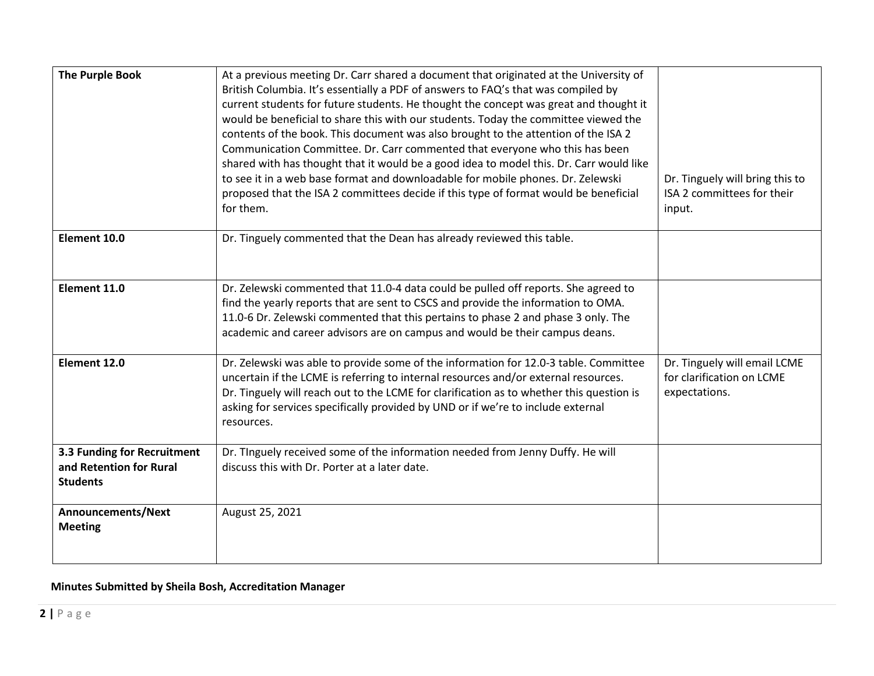| <b>The Purple Book</b>                                                    | At a previous meeting Dr. Carr shared a document that originated at the University of<br>British Columbia. It's essentially a PDF of answers to FAQ's that was compiled by<br>current students for future students. He thought the concept was great and thought it<br>would be beneficial to share this with our students. Today the committee viewed the<br>contents of the book. This document was also brought to the attention of the ISA 2<br>Communication Committee. Dr. Carr commented that everyone who this has been<br>shared with has thought that it would be a good idea to model this. Dr. Carr would like<br>to see it in a web base format and downloadable for mobile phones. Dr. Zelewski<br>proposed that the ISA 2 committees decide if this type of format would be beneficial<br>for them. | Dr. Tinguely will bring this to<br>ISA 2 committees for their<br>input.    |
|---------------------------------------------------------------------------|--------------------------------------------------------------------------------------------------------------------------------------------------------------------------------------------------------------------------------------------------------------------------------------------------------------------------------------------------------------------------------------------------------------------------------------------------------------------------------------------------------------------------------------------------------------------------------------------------------------------------------------------------------------------------------------------------------------------------------------------------------------------------------------------------------------------|----------------------------------------------------------------------------|
| Element 10.0                                                              | Dr. Tinguely commented that the Dean has already reviewed this table.                                                                                                                                                                                                                                                                                                                                                                                                                                                                                                                                                                                                                                                                                                                                              |                                                                            |
| Element 11.0                                                              | Dr. Zelewski commented that 11.0-4 data could be pulled off reports. She agreed to<br>find the yearly reports that are sent to CSCS and provide the information to OMA.<br>11.0-6 Dr. Zelewski commented that this pertains to phase 2 and phase 3 only. The<br>academic and career advisors are on campus and would be their campus deans.                                                                                                                                                                                                                                                                                                                                                                                                                                                                        |                                                                            |
| Element 12.0                                                              | Dr. Zelewski was able to provide some of the information for 12.0-3 table. Committee<br>uncertain if the LCME is referring to internal resources and/or external resources.<br>Dr. Tinguely will reach out to the LCME for clarification as to whether this question is<br>asking for services specifically provided by UND or if we're to include external<br>resources.                                                                                                                                                                                                                                                                                                                                                                                                                                          | Dr. Tinguely will email LCME<br>for clarification on LCME<br>expectations. |
| 3.3 Funding for Recruitment<br>and Retention for Rural<br><b>Students</b> | Dr. Tinguely received some of the information needed from Jenny Duffy. He will<br>discuss this with Dr. Porter at a later date.                                                                                                                                                                                                                                                                                                                                                                                                                                                                                                                                                                                                                                                                                    |                                                                            |
| Announcements/Next<br><b>Meeting</b>                                      | August 25, 2021                                                                                                                                                                                                                                                                                                                                                                                                                                                                                                                                                                                                                                                                                                                                                                                                    |                                                                            |

**Minutes Submitted by Sheila Bosh, Accreditation Manager**